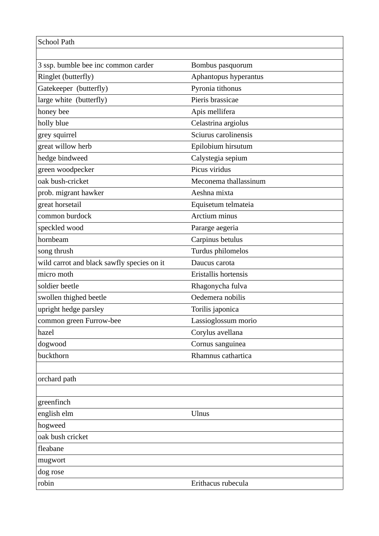| <b>School Path</b>                         |                       |
|--------------------------------------------|-----------------------|
|                                            |                       |
| 3 ssp. bumble bee inc common carder        | Bombus pasquorum      |
| Ringlet (butterfly)                        | Aphantopus hyperantus |
| Gatekeeper (butterfly)                     | Pyronia tithonus      |
| large white (butterfly)                    | Pieris brassicae      |
| honey bee                                  | Apis mellifera        |
| holly blue                                 | Celastrina argiolus   |
| grey squirrel                              | Sciurus carolinensis  |
| great willow herb                          | Epilobium hirsutum    |
| hedge bindweed                             | Calystegia sepium     |
| green woodpecker                           | Picus viridus         |
| oak bush-cricket                           | Meconema thallassinum |
| prob. migrant hawker                       | Aeshna mixta          |
| great horsetail                            | Equisetum telmateia   |
| common burdock                             | Arctium minus         |
| speckled wood                              | Pararge aegeria       |
| hornbeam                                   | Carpinus betulus      |
| song thrush                                | Turdus philomelos     |
| wild carrot and black sawfly species on it | Daucus carota         |
| micro moth                                 | Eristallis hortensis  |
| soldier beetle                             | Rhagonycha fulva      |
| swollen thighed beetle                     | Oedemera nobilis      |
| upright hedge parsley                      | Torilis japonica      |
| common green Furrow-bee                    | Lassioglossum morio   |
| hazel                                      | Corylus avellana      |
| dogwood                                    | Cornus sanguinea      |
| buckthorn                                  | Rhamnus cathartica    |
|                                            |                       |
| orchard path                               |                       |
|                                            |                       |
| greenfinch                                 |                       |
| english elm                                | Ulnus                 |
| hogweed                                    |                       |
| oak bush cricket                           |                       |
| fleabane                                   |                       |
| mugwort                                    |                       |
| dog rose                                   |                       |
| robin                                      | Erithacus rubecula    |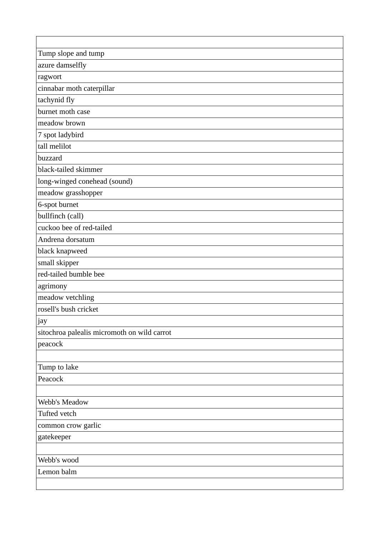| Tump slope and tump                         |
|---------------------------------------------|
| azure damselfly                             |
| ragwort                                     |
| cinnabar moth caterpillar                   |
| tachynid fly                                |
| burnet moth case                            |
| meadow brown                                |
| 7 spot ladybird                             |
| tall melilot                                |
| buzzard                                     |
| black-tailed skimmer                        |
| long-winged conehead (sound)                |
| meadow grasshopper                          |
| 6-spot burnet                               |
| bullfinch (call)                            |
| cuckoo bee of red-tailed                    |
| Andrena dorsatum                            |
| black knapweed                              |
| small skipper                               |
| red-tailed bumble bee                       |
| agrimony                                    |
| meadow vetchling                            |
| rosell's bush cricket                       |
| jay                                         |
| sitochroa palealis micromoth on wild carrot |
| peacock                                     |
|                                             |
| Tump to lake                                |
| Peacock                                     |
|                                             |
| Webb's Meadow                               |
| Tufted vetch                                |
| common crow garlic                          |
| gatekeeper                                  |
|                                             |
| Webb's wood                                 |
| Lemon balm                                  |
|                                             |